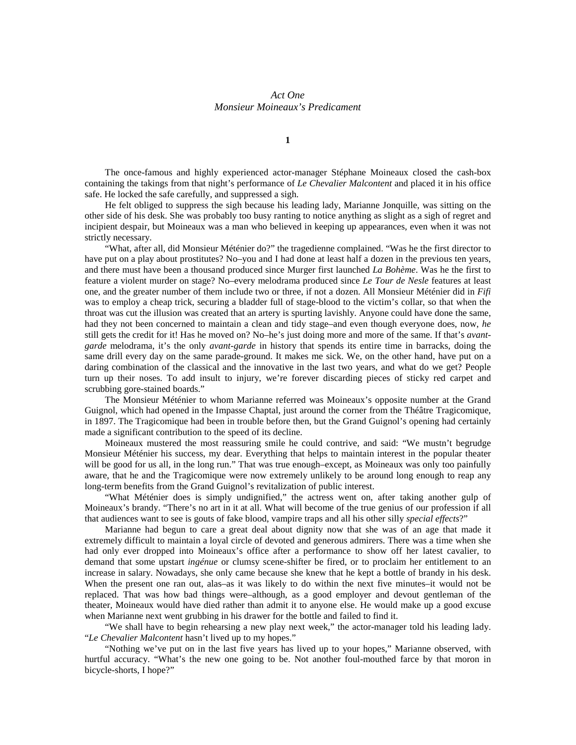## *Act One Monsieur Moineaux's Predicament*

**1**

The once-famous and highly experienced actor-manager Stéphane Moineaux closed the cash-box containing the takings from that night's performance of *Le Chevalier Malcontent* and placed it in his office safe. He locked the safe carefully, and suppressed a sigh.

He felt obliged to suppress the sigh because his leading lady, Marianne Jonquille, was sitting on the other side of his desk. She was probably too busy ranting to notice anything as slight as a sigh of regret and incipient despair, but Moineaux was a man who believed in keeping up appearances, even when it was not strictly necessary.

"What, after all, did Monsieur Méténier do?" the tragedienne complained. "Was he the first director to have put on a play about prostitutes? No–you and I had done at least half a dozen in the previous ten years, and there must have been a thousand produced since Murger first launched *La Bohème*. Was he the first to feature a violent murder on stage? No–every melodrama produced since *Le Tour de Nesle* features at least one, and the greater number of them include two or three, if not a dozen. All Monsieur Méténier did in *Fifi* was to employ a cheap trick, securing a bladder full of stage-blood to the victim's collar, so that when the throat was cut the illusion was created that an artery is spurting lavishly. Anyone could have done the same, had they not been concerned to maintain a clean and tidy stage–and even though everyone does, now, *he* still gets the credit for it! Has he moved on? No–he's just doing more and more of the same. If that's *avantgarde* melodrama, it's the only *avant-garde* in history that spends its entire time in barracks, doing the same drill every day on the same parade-ground. It makes me sick. We, on the other hand, have put on a daring combination of the classical and the innovative in the last two years, and what do we get? People turn up their noses. To add insult to injury, we're forever discarding pieces of sticky red carpet and scrubbing gore-stained boards."

The Monsieur Méténier to whom Marianne referred was Moineaux's opposite number at the Grand Guignol, which had opened in the Impasse Chaptal, just around the corner from the Théâtre Tragicomique, in 1897. The Tragicomique had been in trouble before then, but the Grand Guignol's opening had certainly made a significant contribution to the speed of its decline.

Moineaux mustered the most reassuring smile he could contrive, and said: "We mustn't begrudge Monsieur Méténier his success, my dear. Everything that helps to maintain interest in the popular theater will be good for us all, in the long run." That was true enough–except, as Moineaux was only too painfully aware, that he and the Tragicomique were now extremely unlikely to be around long enough to reap any long-term benefits from the Grand Guignol's revitalization of public interest.

"What Méténier does is simply undignified," the actress went on, after taking another gulp of Moineaux's brandy. "There's no art in it at all. What will become of the true genius of our profession if all that audiences want to see is gouts of fake blood, vampire traps and all his other silly *special effects*?"

Marianne had begun to care a great deal about dignity now that she was of an age that made it extremely difficult to maintain a loyal circle of devoted and generous admirers. There was a time when she had only ever dropped into Moineaux's office after a performance to show off her latest cavalier, to demand that some upstart *ingénue* or clumsy scene-shifter be fired, or to proclaim her entitlement to an increase in salary. Nowadays, she only came because she knew that he kept a bottle of brandy in his desk. When the present one ran out, alas–as it was likely to do within the next five minutes–it would not be replaced. That was how bad things were–although, as a good employer and devout gentleman of the theater, Moineaux would have died rather than admit it to anyone else. He would make up a good excuse when Marianne next went grubbing in his drawer for the bottle and failed to find it.

"We shall have to begin rehearsing a new play next week," the actor-manager told his leading lady. "*Le Chevalier Malcontent* hasn't lived up to my hopes."

"Nothing we've put on in the last five years has lived up to your hopes," Marianne observed, with hurtful accuracy. "What's the new one going to be. Not another foul-mouthed farce by that moron in bicycle-shorts, I hope?"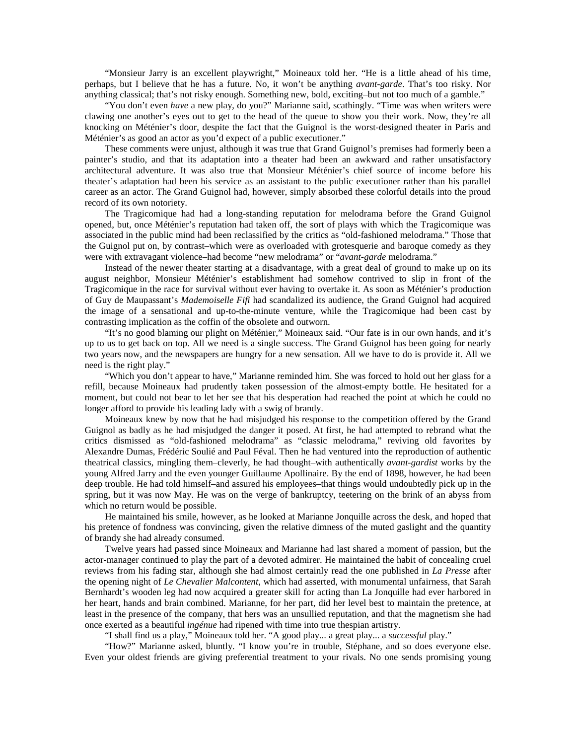"Monsieur Jarry is an excellent playwright," Moineaux told her. "He is a little ahead of his time, perhaps, but I believe that he has a future. No, it won't be anything *avant-garde*. That's too risky. Nor anything classical; that's not risky enough. Something new, bold, exciting–but not too much of a gamble."

"You don't even *have* a new play, do you?" Marianne said, scathingly. "Time was when writers were clawing one another's eyes out to get to the head of the queue to show you their work. Now, they're all knocking on Méténier's door, despite the fact that the Guignol is the worst-designed theater in Paris and Méténier's as good an actor as you'd expect of a public executioner."

These comments were unjust, although it was true that Grand Guignol's premises had formerly been a painter's studio, and that its adaptation into a theater had been an awkward and rather unsatisfactory architectural adventure. It was also true that Monsieur Méténier's chief source of income before his theater's adaptation had been his service as an assistant to the public executioner rather than his parallel career as an actor. The Grand Guignol had, however, simply absorbed these colorful details into the proud record of its own notoriety.

The Tragicomique had had a long-standing reputation for melodrama before the Grand Guignol opened, but, once Méténier's reputation had taken off, the sort of plays with which the Tragicomique was associated in the public mind had been reclassified by the critics as "old-fashioned melodrama." Those that the Guignol put on, by contrast–which were as overloaded with grotesquerie and baroque comedy as they were with extravagant violence–had become "new melodrama" or "*avant-garde* melodrama."

Instead of the newer theater starting at a disadvantage, with a great deal of ground to make up on its august neighbor, Monsieur Méténier's establishment had somehow contrived to slip in front of the Tragicomique in the race for survival without ever having to overtake it. As soon as Méténier's production of Guy de Maupassant's *Mademoiselle Fifi* had scandalized its audience, the Grand Guignol had acquired the image of a sensational and up-to-the-minute venture, while the Tragicomique had been cast by contrasting implication as the coffin of the obsolete and outworn.

"It's no good blaming our plight on Méténier," Moineaux said. "Our fate is in our own hands, and it's up to us to get back on top. All we need is a single success. The Grand Guignol has been going for nearly two years now, and the newspapers are hungry for a new sensation. All we have to do is provide it. All we need is the right play."

"Which you don't appear to have," Marianne reminded him. She was forced to hold out her glass for a refill, because Moineaux had prudently taken possession of the almost-empty bottle. He hesitated for a moment, but could not bear to let her see that his desperation had reached the point at which he could no longer afford to provide his leading lady with a swig of brandy.

Moineaux knew by now that he had misjudged his response to the competition offered by the Grand Guignol as badly as he had misjudged the danger it posed. At first, he had attempted to rebrand what the critics dismissed as "old-fashioned melodrama" as "classic melodrama," reviving old favorites by Alexandre Dumas, Frédéric Soulié and Paul Féval. Then he had ventured into the reproduction of authentic theatrical classics, mingling them–cleverly, he had thought–with authentically *avant-gardist* works by the young Alfred Jarry and the even younger Guillaume Apollinaire. By the end of 1898, however, he had been deep trouble. He had told himself–and assured his employees–that things would undoubtedly pick up in the spring, but it was now May. He was on the verge of bankruptcy, teetering on the brink of an abyss from which no return would be possible.

He maintained his smile, however, as he looked at Marianne Jonquille across the desk, and hoped that his pretence of fondness was convincing, given the relative dimness of the muted gaslight and the quantity of brandy she had already consumed.

Twelve years had passed since Moineaux and Marianne had last shared a moment of passion, but the actor-manager continued to play the part of a devoted admirer. He maintained the habit of concealing cruel reviews from his fading star, although she had almost certainly read the one published in *La Presse* after the opening night of *Le Chevalier Malcontent*, which had asserted, with monumental unfairness, that Sarah Bernhardt's wooden leg had now acquired a greater skill for acting than La Jonquille had ever harbored in her heart, hands and brain combined. Marianne, for her part, did her level best to maintain the pretence, at least in the presence of the company, that hers was an unsullied reputation, and that the magnetism she had once exerted as a beautiful *ingénue* had ripened with time into true thespian artistry.

"I shall find us a play," Moineaux told her. "A good play... a great play... a *successful* play."

"How?" Marianne asked, bluntly. "I know you're in trouble, Stéphane, and so does everyone else. Even your oldest friends are giving preferential treatment to your rivals. No one sends promising young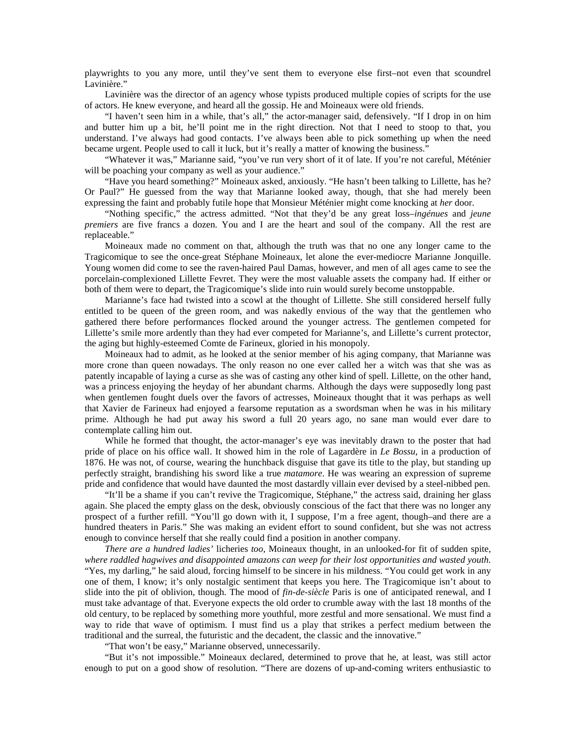playwrights to you any more, until they've sent them to everyone else first–not even that scoundrel Lavinière."

Lavinière was the director of an agency whose typists produced multiple copies of scripts for the use of actors. He knew everyone, and heard all the gossip. He and Moineaux were old friends.

"I haven't seen him in a while, that's all," the actor-manager said, defensively. "If I drop in on him and butter him up a bit, he'll point me in the right direction. Not that I need to stoop to that, you understand. I've always had good contacts. I've always been able to pick something up when the need became urgent. People used to call it luck, but it's really a matter of knowing the business."

"Whatever it was," Marianne said, "you've run very short of it of late. If you're not careful, Méténier will be poaching your company as well as your audience."

"Have you heard something?" Moineaux asked, anxiously. "He hasn't been talking to Lillette, has he? Or Paul?" He guessed from the way that Marianne looked away, though, that she had merely been expressing the faint and probably futile hope that Monsieur Méténier might come knocking at *her* door.

"Nothing specific," the actress admitted. "Not that they'd be any great loss–*ingénues* and *jeune premiers* are five francs a dozen. You and I are the heart and soul of the company. All the rest are replaceable."

Moineaux made no comment on that, although the truth was that no one any longer came to the Tragicomique to see the once-great Stéphane Moineaux, let alone the ever-mediocre Marianne Jonquille. Young women did come to see the raven-haired Paul Damas, however, and men of all ages came to see the porcelain-complexioned Lillette Fevret. They were the most valuable assets the company had. If either or both of them were to depart, the Tragicomique's slide into ruin would surely become unstoppable.

Marianne's face had twisted into a scowl at the thought of Lillette. She still considered herself fully entitled to be queen of the green room, and was nakedly envious of the way that the gentlemen who gathered there before performances flocked around the younger actress. The gentlemen competed for Lillette's smile more ardently than they had ever competed for Marianne's, and Lillette's current protector, the aging but highly-esteemed Comte de Farineux, gloried in his monopoly.

Moineaux had to admit, as he looked at the senior member of his aging company, that Marianne was more crone than queen nowadays. The only reason no one ever called her a witch was that she was as patently incapable of laying a curse as she was of casting any other kind of spell. Lillette, on the other hand, was a princess enjoying the heyday of her abundant charms. Although the days were supposedly long past when gentlemen fought duels over the favors of actresses, Moineaux thought that it was perhaps as well that Xavier de Farineux had enjoyed a fearsome reputation as a swordsman when he was in his military prime. Although he had put away his sword a full 20 years ago, no sane man would ever dare to contemplate calling him out.

While he formed that thought, the actor-manager's eye was inevitably drawn to the poster that had pride of place on his office wall. It showed him in the role of Lagardère in *Le Bossu*, in a production of 1876. He was not, of course, wearing the hunchback disguise that gave its title to the play, but standing up perfectly straight, brandishing his sword like a true *matamore*. He was wearing an expression of supreme pride and confidence that would have daunted the most dastardly villain ever devised by a steel-nibbed pen.

"It'll be a shame if you can't revive the Tragicomique, Stéphane," the actress said, draining her glass again. She placed the empty glass on the desk, obviously conscious of the fact that there was no longer any prospect of a further refill. "You'll go down with it, I suppose, I'm a free agent, though–and there are a hundred theaters in Paris." She was making an evident effort to sound confident, but she was not actress enough to convince herself that she really could find a position in another company.

*There are a hundred ladies'* licheries *too*, Moineaux thought, in an unlooked-for fit of sudden spite, *where raddled hagwives and disappointed amazons can weep for their lost opportunities and wasted youth*. "Yes, my darling," he said aloud, forcing himself to be sincere in his mildness. "You could get work in any one of them, I know; it's only nostalgic sentiment that keeps you here. The Tragicomique isn't about to slide into the pit of oblivion, though. The mood of *fin-de-siècle* Paris is one of anticipated renewal, and I must take advantage of that. Everyone expects the old order to crumble away with the last 18 months of the old century, to be replaced by something more youthful, more zestful and more sensational. We must find a way to ride that wave of optimism. I must find us a play that strikes a perfect medium between the traditional and the surreal, the futuristic and the decadent, the classic and the innovative."

"That won't be easy," Marianne observed, unnecessarily.

"But it's not impossible." Moineaux declared, determined to prove that he, at least, was still actor enough to put on a good show of resolution. "There are dozens of up-and-coming writers enthusiastic to